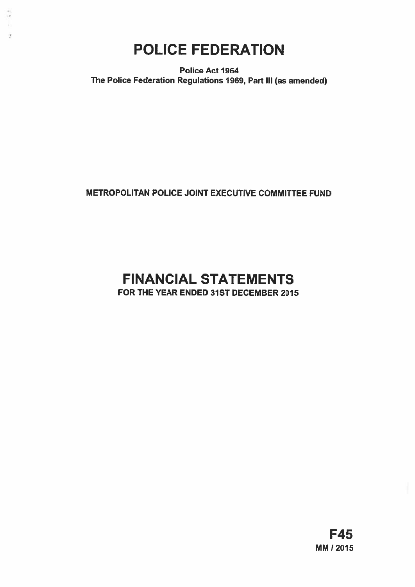# POLICE FEDERATION

÷,

 $\sigma$ 

Police Act 1964 The Police Federation Regulations 1969, Part Ill (as amended)

# METROPOLITAN POLICE JOINT EXECUTIVE COMMITTEE FUND

# FINANCIAL STATEMENTS

FOR THE YEAR ENDED 31ST DECEMBER 2015

F45 MM 12015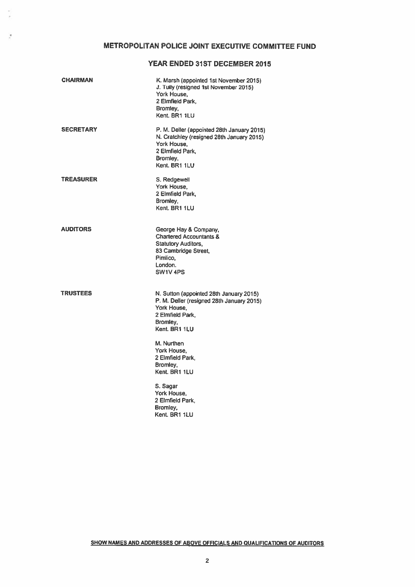# YEAR ENDED 31ST DECEMBER 2015

| <b>CHAIRMAN</b>  | K. Marsh (appointed 1st November 2015)<br>J. Tully (resigned 1st November 2015)<br>York House,<br>2 Elmfield Park,<br>Bromley,<br>Kent. BR1 1LU         |
|------------------|---------------------------------------------------------------------------------------------------------------------------------------------------------|
| <b>SECRETARY</b> | P. M. Deller (appointed 28th January 2015)<br>N. Cratchley (resigned 28th January 2015)<br>York House.<br>2 Elmfield Park.<br>Bromley,<br>Kent, BR1 1LU |
| <b>TREASURER</b> | S. Redgewell<br>York House.<br>2 Elmfield Park.<br>Bromley,<br>Kent. BR1 1LU                                                                            |
| <b>AUDITORS</b>  | George Hay & Company,<br><b>Chartered Accountants &amp;</b><br><b>Statutory Auditors,</b><br>83 Cambridge Street,<br>Pimlico.<br>London.<br>SW1V4PS     |
| <b>TRUSTEES</b>  | N. Sutton (appointed 28th January 2015)<br>P. M. Deller (resigned 28th January 2015)<br>York House.<br>2 Elmfield Park,<br>Bromley,<br>Kent, BR1 1LU    |
|                  | M. Nurthen<br>York House.<br>2 Elmfield Park.<br>Bromley,<br>Kent, BR1 1LU                                                                              |
|                  | S. Sagar<br>York House,<br>2 Elmfield Park,<br>Bromley,<br>Kent. BR1 1LU                                                                                |

ÿ

X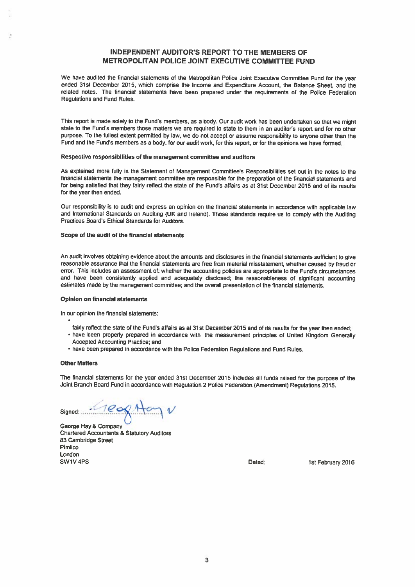# INDEPENDENT AUDITOR'S REPORT TO THE MEMBERS OF METROPOLITAN POLICE JOINT EXECUTIVE COMMITTEE FUND

We have audited the financial statements of the Metropolitan Police Joint Executive Committee Fund for the year ended 31st December 2015, which comprise the Income and Expenditure Account, the Balance Sheet, and lhe related notes. The financial statements have been prepared under the requirements of the Police Federation Regulations and Fund Rules.

This report is made solely to the Fund's members, as a body. Our audit work has been undertaken so that we might state to the Fund's members those matters we are required to state to them in an auditor's repor<sup>t</sup> and for no other purpose. To the fullest extent permitted by law, we do not accep<sup>t</sup> or assume responsibility to anyone other than the Fund and the Fund's members as <sup>a</sup> body, for our audit work, for this report, or for the opinions we have formed.

#### Respective responsibilities of the managemen<sup>t</sup> committee and auditors

As explained more fully in the Statement of Management Committee's Responsibilities set out in the notes to the financial statements the managemen<sup>t</sup> committee are responsible for the preparation of the financial statements and for being satisfied that they fairly reflect the state of the Fund's affairs as at 31st December 2015 and of its results for the year then ended.

Our responsibility is to audit and express an opinion on the financial statements in accordance with applicable law and International Standards on Auditing (UK and Ireland). Those standards require us to comply with the Auditing Practices Board's Ethical Standards for Auditors.

#### Scope of the audit of the financial statements

An audit involves obtaining evidence about the amounts and disclosures in the financial statements sufficient to <sup>g</sup>ive reasonable assurance that the financial statements are free from material misstatement, whether caused by fraud or error. This includes an assessment of: whether the accounting policies are appropriate to the Fund's circumstances and have been consistently applied and adequately disclosed; the reasonableness of significant accounting estimates made by the managemen<sup>t</sup> committee; and the overall presentation of the financial statements.

#### Opinion on financial statements

In our opinion the financial statements:

- fairly reflect the state of the Fund's affairs as at 31st December <sup>2015</sup> and of its results for the year then ended;
- have been properly prepare<sup>d</sup> in accordance with the measurement principles of United Kingdom Generally Accepted Accounting Practice; and
- have been prepared in accordance with the Police Federation Regulations and Fund Rules.

#### Other Matters

The financial statements for the year ended 31st December <sup>2015</sup> includes all funds raised for the purpose of the Joint Branch Board Fund in accordance with Regulation <sup>2</sup> Police Federation (Amendment) Regulations 2015.

Signed:

George Hay & Company Chartered Accountants & Statutory Auditors 83 Cambridge Street Pimlico London SW1V4PS **Dated:** lst February 2016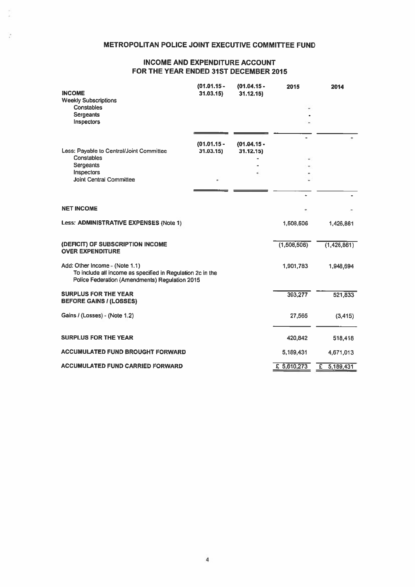# METROPOLITAN POLICE JOINT EXECUTIVE COMMITTEE FUND

Ŷ.

# INCOME AND EXPENDITURE ACCOUNT FOR THE YEAR ENDED 31ST DECEMBER 2015

| <b>INCOME</b><br><b>Weekly Subscriptions</b><br><b>Constables</b><br>Sergeants<br>Inspectors                                                   | $(01.01.15 -$<br>31.03.15 | $(01.04.15 -$<br>31.12.15  | 2015        | 2014          |
|------------------------------------------------------------------------------------------------------------------------------------------------|---------------------------|----------------------------|-------------|---------------|
| Less: Payable to Central/Joint Committee<br>Constables<br>Sergeants<br>Inspectors<br><b>Joint Central Committee</b>                            | $(01.01.15 -$<br>31.03.15 | $(01.04.15 -$<br>31.12.15) |             |               |
| <b>NET INCOME</b>                                                                                                                              |                           |                            |             |               |
| Less: ADMINISTRATIVE EXPENSES (Note 1)                                                                                                         |                           |                            | 1,508,506   | 1,426,861     |
| (DEFICIT) OF SUBSCRIPTION INCOME<br><b>OVER EXPENDITURE</b>                                                                                    |                           |                            | (1,508,506) | (1,426,861)   |
| Add: Other Income - (Note 1.1)<br>To include all income as specified in Regulation 2c in the<br>Police Federation (Amendments) Regulation 2015 |                           |                            | 1,901,783   | 1,948,694     |
| <b>SURPLUS FOR THE YEAR</b><br><b>BEFORE GAINS / (LOSSES)</b>                                                                                  |                           |                            | 393,277     | 521,833       |
| Gains / (Losses) - (Note 1.2)                                                                                                                  |                           |                            | 27,565      | (3, 415)      |
| <b>SURPLUS FOR THE YEAR</b>                                                                                                                    |                           |                            | 420,842     | 518,418       |
| <b>ACCUMULATED FUND BROUGHT FORWARD</b>                                                                                                        |                           |                            | 5,189,431   | 4,671,013     |
| <b>ACCUMULATED FUND CARRIED FORWARD</b>                                                                                                        |                           |                            | £ 5,610,273 | £ $5,189,431$ |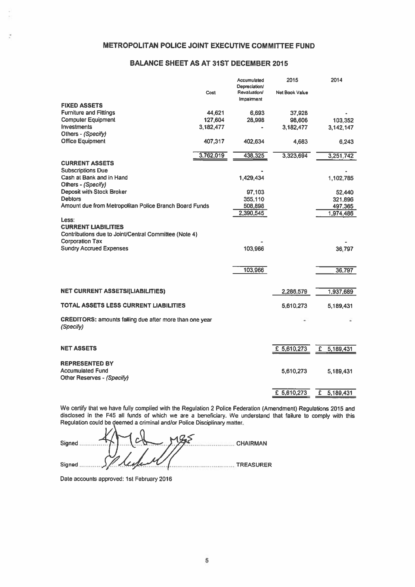# METROPOLITAN POLICE JOINT EXECUTIVE COMMITTEE FUND

# BALANCE SHEET AS AT 31ST DECEMBER 2015

| <b>Impairment</b><br><b>FIXED ASSETS</b><br><b>Furniture and Fittings</b><br>44,621<br>6,693<br>37,928<br><b>Computer Equipment</b><br>127,604<br>28,998<br>98,606<br><b>Investments</b><br>3,182,477<br>3,182,477<br>3,142,147<br>Others - (Specify)<br><b>Office Equipment</b><br>407,317<br>402,634<br>4,683<br>6,243<br>3,762,019<br>438,325<br>3,323,694<br><b>CURRENT ASSETS</b><br><b>Subscriptions Due</b><br>Cash at Bank and in Hand<br>1,429,434<br>1,102,785<br>Others - (Specify)<br><b>Deposit with Stock Broker</b><br>97,103<br>52,440<br><b>Debtors</b><br>355,110<br>321,896<br>Amount due from Metropolitan Police Branch Board Funds<br>508,898<br>2,390,545<br>Less:<br><b>CURRENT LIABILITIES</b><br>Contributions due to Joint/Central Committee (Note 4)<br><b>Corporation Tax</b><br><b>Sundry Accrued Expenses</b><br>103.966<br>36,797<br>103,966<br>36,797<br><b>NET CURRENT ASSETS/(LIABILITIES)</b><br>2,286,579<br>TOTAL ASSETS LESS CURRENT LIABILITIES<br>5,610,273<br>5,189,431<br><b>CREDITORS: amounts falling due after more than one year</b><br>(Specify) |      | Accumulated<br>Depreciation/ | 2015                  | 2014      |
|--------------------------------------------------------------------------------------------------------------------------------------------------------------------------------------------------------------------------------------------------------------------------------------------------------------------------------------------------------------------------------------------------------------------------------------------------------------------------------------------------------------------------------------------------------------------------------------------------------------------------------------------------------------------------------------------------------------------------------------------------------------------------------------------------------------------------------------------------------------------------------------------------------------------------------------------------------------------------------------------------------------------------------------------------------------------------------------------------|------|------------------------------|-----------------------|-----------|
|                                                                                                                                                                                                                                                                                                                                                                                                                                                                                                                                                                                                                                                                                                                                                                                                                                                                                                                                                                                                                                                                                                  | Cost | Revaluation/                 | <b>Net Book Value</b> |           |
|                                                                                                                                                                                                                                                                                                                                                                                                                                                                                                                                                                                                                                                                                                                                                                                                                                                                                                                                                                                                                                                                                                  |      |                              |                       |           |
|                                                                                                                                                                                                                                                                                                                                                                                                                                                                                                                                                                                                                                                                                                                                                                                                                                                                                                                                                                                                                                                                                                  |      |                              |                       |           |
|                                                                                                                                                                                                                                                                                                                                                                                                                                                                                                                                                                                                                                                                                                                                                                                                                                                                                                                                                                                                                                                                                                  |      |                              |                       | 103,352   |
|                                                                                                                                                                                                                                                                                                                                                                                                                                                                                                                                                                                                                                                                                                                                                                                                                                                                                                                                                                                                                                                                                                  |      |                              |                       |           |
|                                                                                                                                                                                                                                                                                                                                                                                                                                                                                                                                                                                                                                                                                                                                                                                                                                                                                                                                                                                                                                                                                                  |      |                              |                       |           |
|                                                                                                                                                                                                                                                                                                                                                                                                                                                                                                                                                                                                                                                                                                                                                                                                                                                                                                                                                                                                                                                                                                  |      |                              |                       |           |
|                                                                                                                                                                                                                                                                                                                                                                                                                                                                                                                                                                                                                                                                                                                                                                                                                                                                                                                                                                                                                                                                                                  |      |                              |                       | 3,251,742 |
|                                                                                                                                                                                                                                                                                                                                                                                                                                                                                                                                                                                                                                                                                                                                                                                                                                                                                                                                                                                                                                                                                                  |      |                              |                       |           |
|                                                                                                                                                                                                                                                                                                                                                                                                                                                                                                                                                                                                                                                                                                                                                                                                                                                                                                                                                                                                                                                                                                  |      |                              |                       |           |
|                                                                                                                                                                                                                                                                                                                                                                                                                                                                                                                                                                                                                                                                                                                                                                                                                                                                                                                                                                                                                                                                                                  |      |                              |                       |           |
|                                                                                                                                                                                                                                                                                                                                                                                                                                                                                                                                                                                                                                                                                                                                                                                                                                                                                                                                                                                                                                                                                                  |      |                              |                       |           |
|                                                                                                                                                                                                                                                                                                                                                                                                                                                                                                                                                                                                                                                                                                                                                                                                                                                                                                                                                                                                                                                                                                  |      |                              |                       |           |
|                                                                                                                                                                                                                                                                                                                                                                                                                                                                                                                                                                                                                                                                                                                                                                                                                                                                                                                                                                                                                                                                                                  |      |                              |                       | 497,365   |
|                                                                                                                                                                                                                                                                                                                                                                                                                                                                                                                                                                                                                                                                                                                                                                                                                                                                                                                                                                                                                                                                                                  |      |                              |                       | 1,974,486 |
|                                                                                                                                                                                                                                                                                                                                                                                                                                                                                                                                                                                                                                                                                                                                                                                                                                                                                                                                                                                                                                                                                                  |      |                              |                       |           |
|                                                                                                                                                                                                                                                                                                                                                                                                                                                                                                                                                                                                                                                                                                                                                                                                                                                                                                                                                                                                                                                                                                  |      |                              |                       |           |
|                                                                                                                                                                                                                                                                                                                                                                                                                                                                                                                                                                                                                                                                                                                                                                                                                                                                                                                                                                                                                                                                                                  |      |                              |                       |           |
|                                                                                                                                                                                                                                                                                                                                                                                                                                                                                                                                                                                                                                                                                                                                                                                                                                                                                                                                                                                                                                                                                                  |      |                              |                       |           |
|                                                                                                                                                                                                                                                                                                                                                                                                                                                                                                                                                                                                                                                                                                                                                                                                                                                                                                                                                                                                                                                                                                  |      |                              |                       |           |
|                                                                                                                                                                                                                                                                                                                                                                                                                                                                                                                                                                                                                                                                                                                                                                                                                                                                                                                                                                                                                                                                                                  |      |                              |                       |           |
|                                                                                                                                                                                                                                                                                                                                                                                                                                                                                                                                                                                                                                                                                                                                                                                                                                                                                                                                                                                                                                                                                                  |      |                              |                       |           |
|                                                                                                                                                                                                                                                                                                                                                                                                                                                                                                                                                                                                                                                                                                                                                                                                                                                                                                                                                                                                                                                                                                  |      |                              |                       |           |
|                                                                                                                                                                                                                                                                                                                                                                                                                                                                                                                                                                                                                                                                                                                                                                                                                                                                                                                                                                                                                                                                                                  |      |                              |                       | 1,937,689 |
|                                                                                                                                                                                                                                                                                                                                                                                                                                                                                                                                                                                                                                                                                                                                                                                                                                                                                                                                                                                                                                                                                                  |      |                              |                       |           |
|                                                                                                                                                                                                                                                                                                                                                                                                                                                                                                                                                                                                                                                                                                                                                                                                                                                                                                                                                                                                                                                                                                  |      |                              |                       |           |
|                                                                                                                                                                                                                                                                                                                                                                                                                                                                                                                                                                                                                                                                                                                                                                                                                                                                                                                                                                                                                                                                                                  |      |                              |                       |           |
|                                                                                                                                                                                                                                                                                                                                                                                                                                                                                                                                                                                                                                                                                                                                                                                                                                                                                                                                                                                                                                                                                                  |      |                              |                       |           |
|                                                                                                                                                                                                                                                                                                                                                                                                                                                                                                                                                                                                                                                                                                                                                                                                                                                                                                                                                                                                                                                                                                  |      |                              |                       |           |
| <b>NET ASSETS</b><br>£ 5,610,273<br>£                                                                                                                                                                                                                                                                                                                                                                                                                                                                                                                                                                                                                                                                                                                                                                                                                                                                                                                                                                                                                                                            |      |                              |                       | 5,189,431 |
|                                                                                                                                                                                                                                                                                                                                                                                                                                                                                                                                                                                                                                                                                                                                                                                                                                                                                                                                                                                                                                                                                                  |      |                              |                       |           |
| <b>REPRESENTED BY</b><br><b>Accumulated Fund</b>                                                                                                                                                                                                                                                                                                                                                                                                                                                                                                                                                                                                                                                                                                                                                                                                                                                                                                                                                                                                                                                 |      |                              |                       |           |
| 5,610,273<br>Other Reserves - (Specify)                                                                                                                                                                                                                                                                                                                                                                                                                                                                                                                                                                                                                                                                                                                                                                                                                                                                                                                                                                                                                                                          |      |                              |                       | 5,189,431 |
|                                                                                                                                                                                                                                                                                                                                                                                                                                                                                                                                                                                                                                                                                                                                                                                                                                                                                                                                                                                                                                                                                                  |      |                              |                       |           |
| £ 5,610,273<br>£.                                                                                                                                                                                                                                                                                                                                                                                                                                                                                                                                                                                                                                                                                                                                                                                                                                                                                                                                                                                                                                                                                |      |                              |                       | 5,189,431 |

We certify that we have fully complied with the Regulation <sup>2</sup> Police Federation (Amendment) Regulations <sup>2015</sup> and disclosed in the F45 all funds of which we are <sup>a</sup> beneficiary. We understand that failure to comply with this Regulation could be deemed <sup>a</sup> criminal and/or Police Disciplinary matter.

Signed ....... 1J.L..\_c........................... CHAIRMAN Signed ,.......... /.,,. ....................,.................. TREASURER

Date accounts approved: 1st February 2016

ċ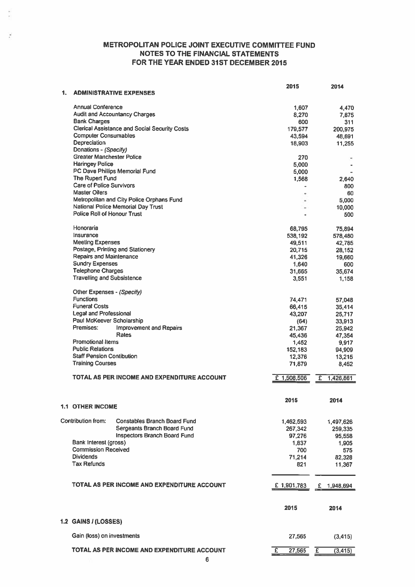# METROPOLITAN POLICE JOINT EXECUTIVE COMMITTEE FUND NOTES TO THE FINANCIAL STATEMENTS FOR THE YEAR ENDED 31ST DECEMBER 2015

×

| 1. |                                    | <b>ADMINISTRATIVE EXPENSES</b>                       | 2015                     | 2014                                |
|----|------------------------------------|------------------------------------------------------|--------------------------|-------------------------------------|
|    | <b>Annual Conference</b>           |                                                      | 1,607                    | 4.470                               |
|    |                                    | <b>Audit and Accountancy Charges</b>                 |                          |                                     |
|    | <b>Bank Charges</b>                |                                                      | 8,270                    | 7,875                               |
|    |                                    | <b>Clerical Assistance and Social Security Costs</b> | 600                      | 311                                 |
|    | <b>Computer Consumables</b>        |                                                      | 179,577                  | 200,975                             |
|    |                                    |                                                      | 43,594                   | 48,691                              |
|    | Depreciation                       |                                                      | 18,903                   | 11,255                              |
|    | Donations - (Specify)              |                                                      |                          |                                     |
|    | <b>Greater Manchester Police</b>   |                                                      | 270                      |                                     |
|    | <b>Haringey Police</b>             |                                                      | 5,000                    |                                     |
|    |                                    | PC Dave Phillips Memorial Fund                       | 5,000                    |                                     |
|    | The Rupert Fund                    |                                                      | 1,568                    | 2.640                               |
|    | <b>Care of Police Survivors</b>    |                                                      |                          | 800                                 |
|    | <b>Master Oilers</b>               |                                                      |                          | 60                                  |
|    |                                    | Metropolitan and City Police Orphans Fund            |                          | 5.000                               |
|    |                                    | National Police Memorial Day Trust                   |                          | 10,000                              |
|    | <b>Police Roll of Honour Trust</b> |                                                      |                          | 500                                 |
|    | Honoraria                          |                                                      | 68.795                   | 75,894                              |
|    | Insurance                          |                                                      | 538,192                  | 578,480                             |
|    | <b>Meeting Expenses</b>            |                                                      | 49,511                   | 42.785                              |
|    |                                    | Postage, Printing and Stationery                     | 20,715                   | 28,152                              |
|    | <b>Repairs and Maintenance</b>     |                                                      | 41,326                   | 19,660                              |
|    | <b>Sundry Expenses</b>             |                                                      |                          |                                     |
|    | <b>Telephone Charges</b>           |                                                      | 1,640                    | 600                                 |
|    | <b>Travelling and Subsistence</b>  |                                                      | 31,665                   | 35,674                              |
|    |                                    |                                                      | 3,551                    | 1,158                               |
|    | Other Expenses - (Specify)         |                                                      |                          |                                     |
|    | <b>Functions</b>                   |                                                      | 74,471                   | 57,048                              |
|    | <b>Funeral Costs</b>               |                                                      | 66,415                   | 35,414                              |
|    | Legal and Professional             |                                                      | 43,207                   | 25,717                              |
|    | Paul McKeever Scholarship          |                                                      | (64)                     | 33,913                              |
|    | Premises:                          | <b>Improvement and Repairs</b>                       | 21,367                   | 25,942                              |
|    |                                    | Rates                                                | 45,436                   | 47,354                              |
|    | <b>Promotional Items</b>           |                                                      | 1,452                    | 9,917                               |
|    | <b>Public Relations</b>            |                                                      | 152,183                  | 94,909                              |
|    | <b>Staff Pension Contibution</b>   |                                                      | 12,376                   | 13,215                              |
|    | <b>Training Courses</b>            |                                                      | 71,879                   | 8,452                               |
|    |                                    | TOTAL AS PER INCOME AND EXPENDITURE ACCOUNT          | £ 1,508,506              | 1,426,861<br>£                      |
|    |                                    |                                                      |                          |                                     |
|    | 1.1 OTHER INCOME                   |                                                      | 2015                     | 2014                                |
|    |                                    |                                                      |                          |                                     |
|    | Contribution from:                 | <b>Constables Branch Board Fund</b>                  | 1,462,593                | 1,497,626                           |
|    |                                    | Sergeants Branch Board Fund                          | 267,342                  | 259,335                             |
|    |                                    | <b>Inspectors Branch Board Fund</b>                  | 97,276                   | 95,558                              |
|    | Bank Interest (gross)              |                                                      | 1,837                    | 1,905                               |
|    | <b>Commission Received</b>         |                                                      | 700                      | 575                                 |
|    | <b>Dividends</b>                   |                                                      | 71,214                   | 82,328                              |
|    | <b>Tax Refunds</b>                 |                                                      | 821                      |                                     |
|    |                                    |                                                      |                          | 11,367                              |
|    |                                    | TOTAL AS PER INCOME AND EXPENDITURE ACCOUNT          | £1,901,783               | £<br>1,948,694                      |
|    |                                    |                                                      | 2015                     | 2014                                |
|    | I.2 GAINS / (LOSSES)               |                                                      |                          |                                     |
|    | Gain (loss) on investments         |                                                      | 27,565                   | (3, 415)                            |
|    |                                    |                                                      |                          |                                     |
|    |                                    | TOTAL AS PER INCOME AND EXPENDITURE ACCOUNT          | $\overline{f}$<br>27,565 | $\overline{\mathbf{f}}$<br>(3, 415) |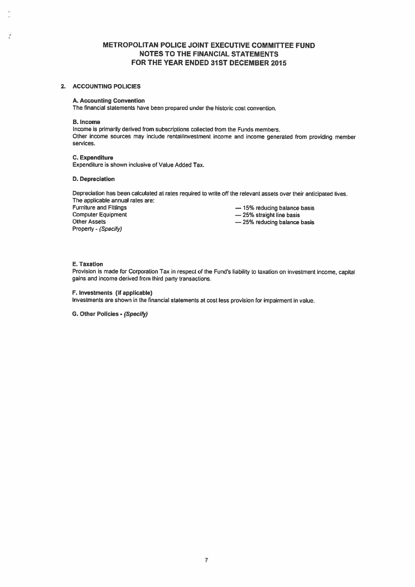# METROPOLITAN POLICE JOINT EXECUTIVE COMMITtEE FUND NOTES TO THE FINANCIAL STATEMENTS FOR THE YEAR ENDED 31ST DECEMBER 2015

#### 2. ACCOUNTING POLICIES

#### A. Accounting Convention

The financial statements have been prepared under the historic cost convention.

B. Income

ž

Income is primarily derived from subscriptions collected from the Funds members. Other income sources may include rental/investment income and income generated from providing member services.

#### C. Expenditure

Expenditure is shown inclusive of Value Added Tax.

#### D. Depreciation

Depreciation has been calculated at rates required to write off the relevant assets over their anticipated lives. The applicable annual rates are:

Other Assets Property - (Specify)

Furniture and Fittings<br>
Computer Equipment<br>  $\begin{array}{r} -15\% \text{(-13)}$  and the basis Computer Equipment  $-25%$  straight line basis

— 25% reducing balance basis

#### E. Taxation

Provision is made for Corporation Tax in respec<sup>t</sup> of the Fund's liability to taxation on investment income, capital gains and income derived from third party transactions.

F. Investments (if applicable)

Investments are shown in the financial statements at cost less provision for impairment in value.

G. Other Policies - (Specify)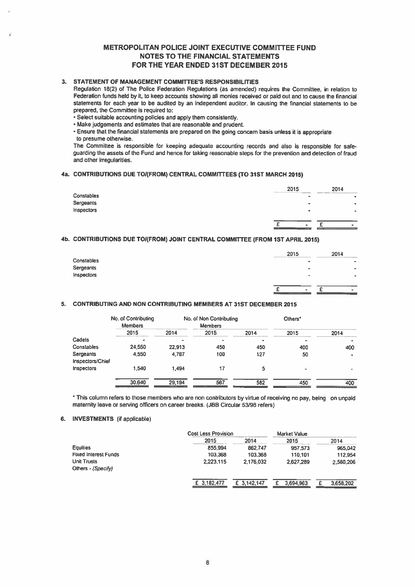## METROPOLITAN POLICE JOINT EXECUTIVE COMMITTEE FUND NOTES TO THE FINANCIAL STATEMENTS FOR THE YEAR ENDED 31ST DECEMBER 2015

## 3. STATEMENT OF MANAGEMENT COMMITTEE'S RESPONSIBILITIES

Regulation 18(2) of The Police Federation Regulations (as amended) requires the Committee, in relation to Federation funds held by it, to keep accounts showing all monies received or paid out and to cause the financial statements for each year to be audited by an independent auditor. In causing the financial statements to be prepared, the Committee is required to:

- Select suitable accounting policies and apply them consistently.
- Make judgements and estimates that are reasonable and prudent.
- Ensure that the financial statements are prepare<sup>d</sup> on the going concern basis unless it is appropriate to presume otherwise.

The Committee is responsible for keeping adequate accounting records and also is responsible for safe guarding the assets of the Fund and hence for taking reasonable steps for the prevention and detection of fraud and other irregularities.

### 4a. CONTRIBUTIONS DUE TOI(FROM) CENTRAL COMMITTEES (TO 31ST MARCH 2015)

|            | 2015                                                     | 2014      |
|------------|----------------------------------------------------------|-----------|
| Constables | <b>COLLEGE</b><br><b>The Committee of Committee</b><br>۰ | $\bullet$ |
| Sergeants  | $\bullet$                                                | $\bullet$ |
| Inspectors | ۰                                                        | ۰         |
|            | $\overline{\phantom{a}}$                                 | $\bullet$ |

#### 4b. CONTRIBUTIONS DUE TOI(FROM) JOINT CENTRAL COMMITTEE (FROM 1ST APRIL 2015)

|            | 2015<br><b>The Company's Company's Company's Company's</b> | 2014                  |
|------------|------------------------------------------------------------|-----------------------|
| Constables |                                                            | $-$<br>$\blacksquare$ |
| Sergeants  | $\sim$                                                     | $\rightarrow$         |
| Inspectors |                                                            | -                     |
|            |                                                            |                       |
|            | <b>Sec.</b>                                                | $\sim$                |

#### 5. CONTRIBUTING AND NON CONTRIBUTING MEMBERS AT 31ST DECEMBER 2015

|                               | No. of Contributing<br><b>Members</b> |        | No. of Non Contributing<br><b>Members</b> |      | Others <sup>*</sup> |           |
|-------------------------------|---------------------------------------|--------|-------------------------------------------|------|---------------------|-----------|
|                               | 2015                                  | 2014   | 2015                                      | 2014 | 2015                | 2014      |
| Cadets                        |                                       |        |                                           | ٠    | ٠                   | $\bullet$ |
| Constables                    | 24,550                                | 22,913 | 450                                       | 450  | 400                 | 400       |
| Sergeants<br>Inspectors/Chief | 4,550                                 | 4,787  | 100                                       | 127  | 50                  | $\bullet$ |
| Inspectors                    | 1.540                                 | 1,494  | 17                                        | 5    | ÷                   | ۰         |
|                               | 30,640                                | 29.194 | 567                                       | 582  | 450                 | 400       |

\* This column refers to those members who are non contributors by virtue of receiving no pay, being on unpaid maternity leave or serving officers on career breaks. (JBB Circular 53/96 refers)

#### 6. INVESTMENTS (if applicable)

|                                          | <b>Cost Less Provision</b> |             | Market Value |           |
|------------------------------------------|----------------------------|-------------|--------------|-----------|
|                                          | 2015                       | 2014        | 2015         | 2014      |
| <b>Equities</b>                          | 855,994                    | 862,747     | 957.573      | 965,042   |
| <b>Fixed Interest Funds</b>              | 103,368                    | 103,368     | 110.101      | 112.954   |
| <b>Unit Trusts</b><br>Others - (Specify) | 2.223.115                  | 2.176.032   | 2.627.289    | 2,580,206 |
|                                          | £ 3,182,477                | £ 3,142,147 | 3,694,963    | 3.658.202 |